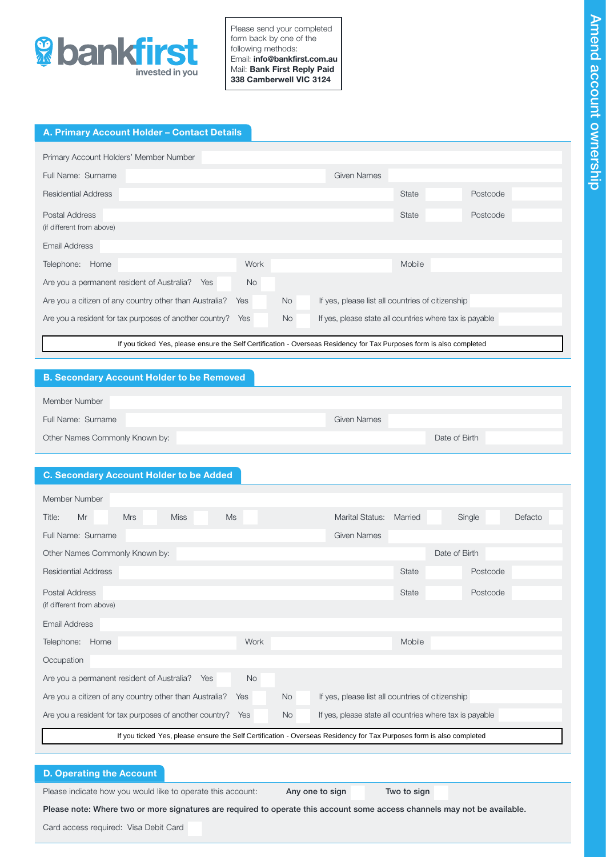

Please send your completed form back by one of the following methods: Email: info@bankfirst.com.au Mail: Bank First Reply Paid 338 Camberwell VIC 3124

# A. Primary Account Holder – Contact Details

| Primary Account Holders' Member Number                                                                               |           |           |                                                         |              |          |
|----------------------------------------------------------------------------------------------------------------------|-----------|-----------|---------------------------------------------------------|--------------|----------|
| Full Name: Surname                                                                                                   |           |           | <b>Given Names</b>                                      |              |          |
| <b>Residential Address</b>                                                                                           |           |           |                                                         | State        | Postcode |
| Postal Address                                                                                                       |           |           |                                                         | <b>State</b> | Postcode |
| (if different from above)                                                                                            |           |           |                                                         |              |          |
| Email Address                                                                                                        |           |           |                                                         |              |          |
| Telephone:<br>Home                                                                                                   | Work      |           |                                                         | Mobile       |          |
| Are you a permanent resident of Australia? Yes                                                                       | <b>No</b> |           |                                                         |              |          |
| Are you a citizen of any country other than Australia?                                                               | Yes       | <b>No</b> | If yes, please list all countries of citizenship        |              |          |
| Are you a resident for tax purposes of another country?                                                              | Yes       | <b>No</b> | If yes, please state all countries where tax is payable |              |          |
| If you ticked Yes, please ensure the Self Certification - Overseas Residency for Tax Purposes form is also completed |           |           |                                                         |              |          |

# B. Secondary Account Holder to be Removed

| Member Number                  |             |               |
|--------------------------------|-------------|---------------|
| Full Name: Surname             | Given Names |               |
| Other Names Commonly Known by: |             | Date of Birth |

# C. Secondary Account Holder to be Added

| If you ticked Yes, please ensure the Self Certification - Overseas Residency for Tax Purposes form is also completed                   |           |                    |              |               |         |  |
|----------------------------------------------------------------------------------------------------------------------------------------|-----------|--------------------|--------------|---------------|---------|--|
| <b>B. Secondary Account Holder to be Removed</b>                                                                                       |           |                    |              |               |         |  |
|                                                                                                                                        |           |                    |              |               |         |  |
| Member Number                                                                                                                          |           |                    |              |               |         |  |
| Full Name: Surname                                                                                                                     |           | <b>Given Names</b> |              |               |         |  |
| Other Names Commonly Known by:                                                                                                         |           |                    |              | Date of Birth |         |  |
|                                                                                                                                        |           |                    |              |               |         |  |
| <b>C. Secondary Account Holder to be Added</b>                                                                                         |           |                    |              |               |         |  |
| Member Number                                                                                                                          |           |                    |              |               |         |  |
| <b>Ms</b><br>Title:<br>Mr<br><b>Mrs</b><br><b>Miss</b>                                                                                 |           | Marital Status:    | Married      | Single        | Defacto |  |
| Full Name: Surname                                                                                                                     |           | <b>Given Names</b> |              |               |         |  |
| Other Names Commonly Known by:                                                                                                         |           |                    |              | Date of Birth |         |  |
| <b>Residential Address</b>                                                                                                             |           |                    | State        | Postcode      |         |  |
| <b>Postal Address</b>                                                                                                                  |           |                    | <b>State</b> | Postcode      |         |  |
| (if different from above)                                                                                                              |           |                    |              |               |         |  |
| <b>Email Address</b>                                                                                                                   |           |                    |              |               |         |  |
| Telephone: Home                                                                                                                        | Work      |                    | Mobile       |               |         |  |
| Occupation                                                                                                                             |           |                    |              |               |         |  |
| Are you a permanent resident of Australia?<br>Yes                                                                                      | <b>No</b> |                    |              |               |         |  |
| Are you a citizen of any country other than Australia?<br>If yes, please list all countries of citizenship<br><b>No</b><br>Yes         |           |                    |              |               |         |  |
| Are you a resident for tax purposes of another country?<br>If yes, please state all countries where tax is payable<br>Yes<br><b>No</b> |           |                    |              |               |         |  |
| If you ticked Yes, please ensure the Self Certification - Overseas Residency for Tax Purposes form is also completed                   |           |                    |              |               |         |  |

## D. Operating the Account

Please indicate how you would like to operate this account: **Any one to sign Two to sign** 

Please note: Where two or more signatures are required to operate this account some access channels may not be available.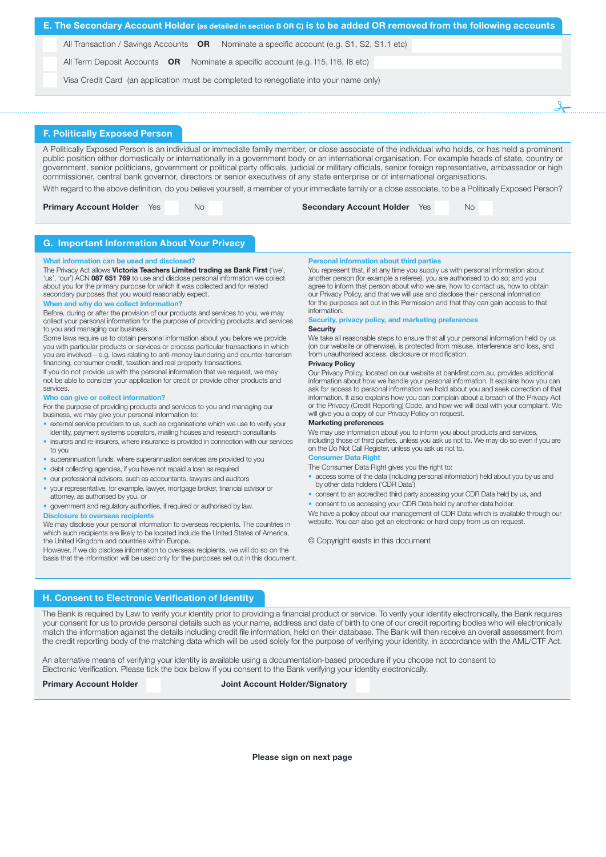| E. The Secondary Account Holder (as detailed in section B OR C) is to be added OR removed from the following accounts |  |
|-----------------------------------------------------------------------------------------------------------------------|--|
| All Transaction / Savings Accounts <b>OR</b> Nominate a specific account (e.g. S1, S2, S1.1 etc)                      |  |
| All Term Deposit Accounts $OR$ Nominate a specific account (e.g. 115, 116, 18 etc)                                    |  |
| Visa Credit Card (an application must be completed to renegotiate into your name only)                                |  |
|                                                                                                                       |  |
|                                                                                                                       |  |

### F. Politically Exposed Person

A Politically Exposed Person is an individual or immediate family member, or close associate of the individual who holds, or has held a prominent public position either domestically or internationally in a government body or an international organisation. For example heads of state, country or government, senior politicians, government or political party officials, judicial or military officials, senior foreign representative, ambassador or high commissioner, central bank governor, directors or senior executives of any state enterprise or of international organisations. With regard to the above definition, do you believe yourself, a member of your immediate family or a close associate, to be a Politically Exposed Person?

|  | <b>Primary Account Holder</b> Yes |  | No. | <b>Secondary Account Holder</b> Yes |  | No. |
|--|-----------------------------------|--|-----|-------------------------------------|--|-----|
|--|-----------------------------------|--|-----|-------------------------------------|--|-----|

## G. Important Information About Your Privacy

#### What information can be used and disclosed?

The Privacy Act allows Victoria Teachers Limited trading as Bank First ('we', 'us', 'our') ACN 087 651 769 to use and disclose personal information we collect about you for the primary purpose for which it was collected and for related secondary purposes that you would reasonably expect.

#### When and why do we collect information?

Before, during or after the provision of our products and services to you, we may collect your personal information for the purpose of providing products and services to you and managing our business.

Some laws require us to obtain personal information about you before we provide you with particular products or services or process particular transactions in which you are involved – e.g. laws relating to anti-money laundering and counter-terrorism financing, consumer credit, taxation and real property transactions.

If you do not provide us with the personal information that we request, we may not be able to consider your application for credit or provide other products and services.

### Who can give or collect information?

For the purpose of providing products and services to you and managing our business, we may give your personal information to:

- external service providers to us, such as organisations which we use to verify your identity, payment systems operators, mailing houses and research consultants
- insurers and re-insurers, where insurance is provided in connection with our services to you
- superannuation funds, where superannuation services are provided to you
- debt collecting agencies, if you have not repaid a loan as required
- our professional advisors, such as accountants, lawyers and auditors
- your representative, for example, lawyer, mortgage broker, financial advisor or attorney, as authorised by you, or
- government and regulatory authorities, if required or authorised by law.

### Disclosure to overseas recipients

We may disclose your personal information to overseas recipients. The countries in which such recipients are likely to be located include the United States of America, the United Kingdom and countries within Europe.

However, if we do disclose information to overseas recipients, we will do so on the basis that the information will be used only for the purposes set out in this document.

### Personal information about third parties

You represent that, if at any time you supply us with personal information about another person (for example a referee), you are authorised to do so; and you agree to inform that person about who we are, how to contact us, how to obtain our Privacy Policy, and that we will use and disclose their personal information for the purposes set out in this Permission and that they can gain access to that information.

#### Security, privacy policy, and marketing preference

#### **Security**

We take all reasonable steps to ensure that all your personal information held by us (on our website or otherwise), is protected from misuse, interference and loss, and from unauthorised access, disclosure or modification.

### Privacy Policy

Our Privacy Policy, located on our website at bankfirst.com.au, provides additional information about how we handle your personal information. It explains how you can ask for access to personal information we hold about you and seek correction of that information. It also explains how you can complain about a breach of the Privacy Act or the Privacy (Credit Reporting) Code, and how we will deal with your complaint. We will give you a copy of our Privacy Policy on request.

#### Marketing preferences

We may use information about you to inform you about products and services. including those of third parties, unless you ask us not to. We may do so even if you are on the Do Not Call Register, unless you ask us not to.

### Consumer Data Right

The Consumer Data Right gives you the right to:

- access some of the data (including personal information) held about you by us and by other data holders ('CDR Data')
- consent to an accredited third party accessing your CDR Data held by us, and • consent to us accessing your CDR Data held by another data holder.

We have a policy about our management of CDR Data which is available through our website. You can also get an electronic or hard copy from us on request.

© Copyright exists in this document

## H. Consent to Electronic Verification of Identity

The Bank is required by Law to verify your identity prior to providing a financial product or service. To verify your identity electronically, the Bank requires your consent for us to provide personal details such as your name, address and date of birth to one of our credit reporting bodies who will electronically match the information against the details including credit file information, held on their database. The Bank will then receive an overall assessment from the credit reporting body of the matching data which will be used solely for the purpose of verifying your identity, in accordance with the AML/CTF Act.

An alternative means of verifying your identity is available using a documentation-based procedure if you choose not to consent to Electronic Verification. Please tick the box below if you consent to the Bank verifying your identity electronically.

### Primary Account Holder Joint Account Holder/Signatory

Please sign on next page